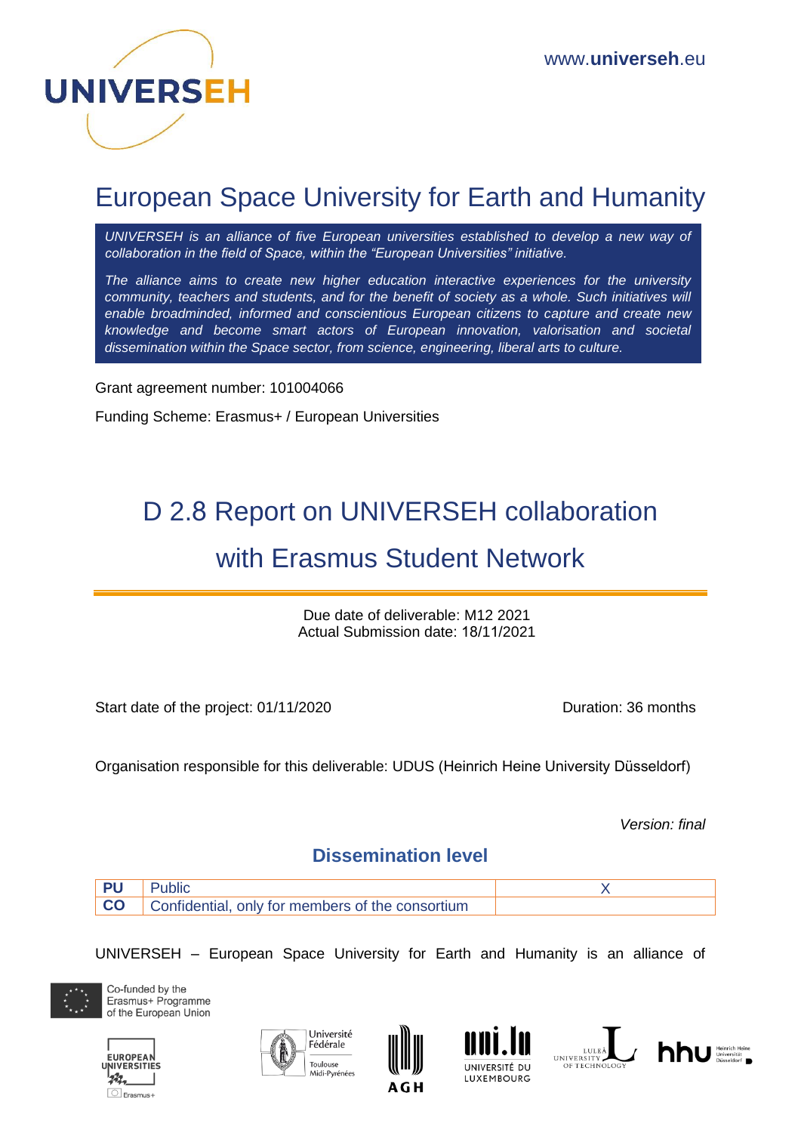

# European Space University for Earth and Humanity

*UNIVERSEH is an alliance of five European universities established to develop a new way of collaboration in the field of Space, within the "European Universities" initiative.*

*The alliance aims to create new higher education interactive experiences for the university community, teachers and students, and for the benefit of society as a whole. Such initiatives will enable broadminded, informed and conscientious European citizens to capture and create new knowledge and become smart actors of European innovation, valorisation and societal dissemination within the Space sector, from science, engineering, liberal arts to culture.*

Grant agreement number: 101004066

Funding Scheme: Erasmus+ / European Universities

# D 2.8 Report on UNIVERSEH collaboration with Erasmus Student Network

Due date of deliverable: M12 2021 Actual Submission date: 18/11/2021

Start date of the project: 01/11/2020 Duration: 36 months

Organisation responsible for this deliverable: UDUS (Heinrich Heine University Düsseldorf)

*Version: final*

#### **Dissemination level**

| PU |                                                            |  |
|----|------------------------------------------------------------|--|
|    | <b>CO</b> Confidential, only for members of the consortium |  |

UNIVERSEH – European Space University for Earth and Humanity is an alliance of











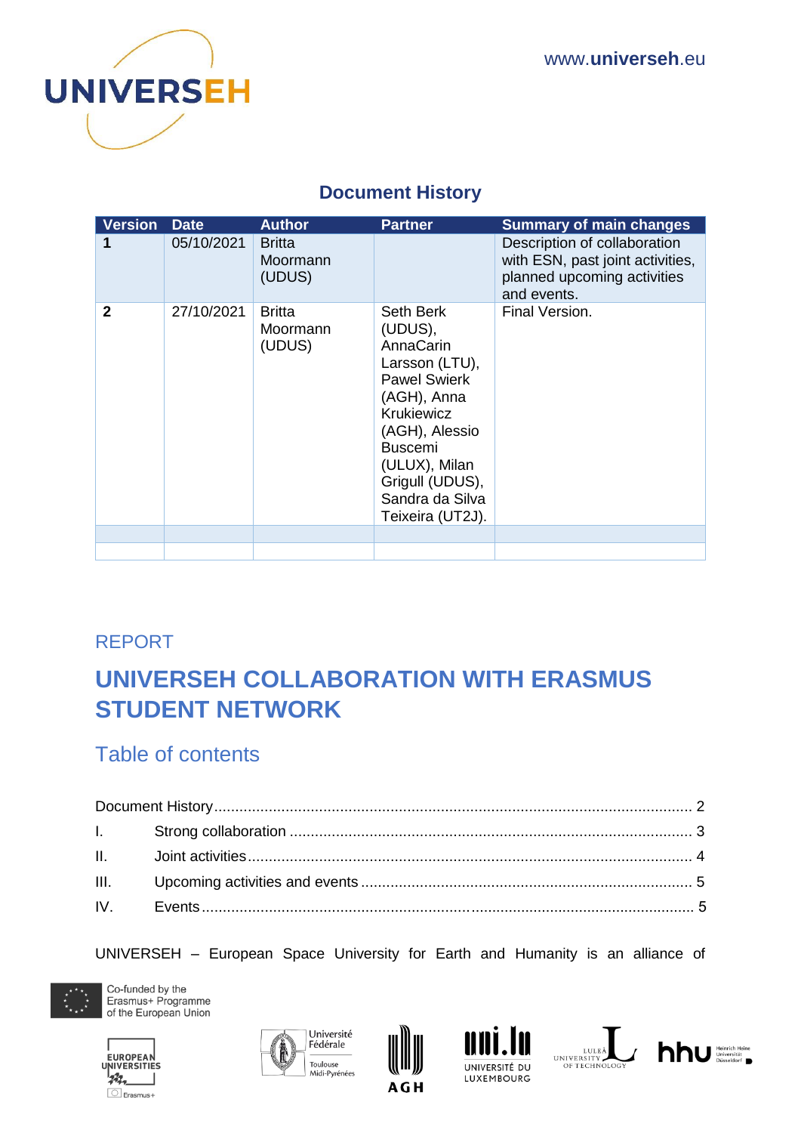

#### **Document History**

<span id="page-1-0"></span>

| <b>Version</b> | <b>Date</b> | <b>Author</b>                       | <b>Partner</b>                                                                                                                                                                                                         | <b>Summary of main changes</b>                                                                                 |
|----------------|-------------|-------------------------------------|------------------------------------------------------------------------------------------------------------------------------------------------------------------------------------------------------------------------|----------------------------------------------------------------------------------------------------------------|
|                | 05/10/2021  | <b>Britta</b><br>Moormann<br>(UDUS) |                                                                                                                                                                                                                        | Description of collaboration<br>with ESN, past joint activities,<br>planned upcoming activities<br>and events. |
| $\mathbf{2}$   | 27/10/2021  | <b>Britta</b><br>Moormann<br>(UDUS) | Seth Berk<br>(UDUS),<br>AnnaCarin<br>Larsson (LTU),<br><b>Pawel Swierk</b><br>(AGH), Anna<br>Krukiewicz<br>(AGH), Alessio<br><b>Buscemi</b><br>(ULUX), Milan<br>Grigull (UDUS),<br>Sandra da Silva<br>Teixeira (UT2J). | Final Version.                                                                                                 |
|                |             |                                     |                                                                                                                                                                                                                        |                                                                                                                |
|                |             |                                     |                                                                                                                                                                                                                        |                                                                                                                |

### REPORT

# **UNIVERSEH COLLABORATION WITH ERASMUS STUDENT NETWORK**

## Table of contents

UNIVERSEH – European Space University for Earth and Humanity is an alliance of













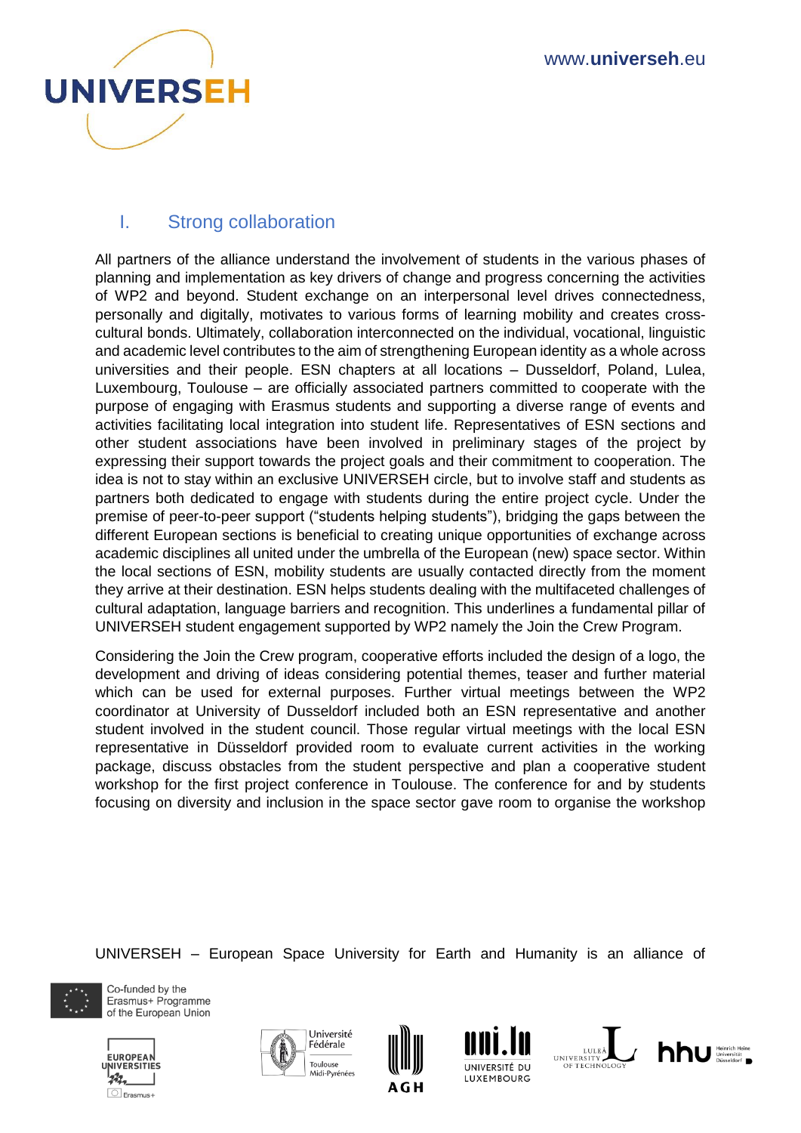

#### <span id="page-2-0"></span>I. Strong collaboration

All partners of the alliance understand the involvement of students in the various phases of planning and implementation as key drivers of change and progress concerning the activities of WP2 and beyond. Student exchange on an interpersonal level drives connectedness, personally and digitally, motivates to various forms of learning mobility and creates crosscultural bonds. Ultimately, collaboration interconnected on the individual, vocational, linguistic and academic level contributes to the aim of strengthening European identity as a whole across universities and their people. ESN chapters at all locations – Dusseldorf, Poland, Lulea, Luxembourg, Toulouse – are officially associated partners committed to cooperate with the purpose of engaging with Erasmus students and supporting a diverse range of events and activities facilitating local integration into student life. Representatives of ESN sections and other student associations have been involved in preliminary stages of the project by expressing their support towards the project goals and their commitment to cooperation. The idea is not to stay within an exclusive UNIVERSEH circle, but to involve staff and students as partners both dedicated to engage with students during the entire project cycle. Under the premise of peer-to-peer support ("students helping students"), bridging the gaps between the different European sections is beneficial to creating unique opportunities of exchange across academic disciplines all united under the umbrella of the European (new) space sector. Within the local sections of ESN, mobility students are usually contacted directly from the moment they arrive at their destination. ESN helps students dealing with the multifaceted challenges of cultural adaptation, language barriers and recognition. This underlines a fundamental pillar of UNIVERSEH student engagement supported by WP2 namely the Join the Crew Program.

Considering the Join the Crew program, cooperative efforts included the design of a logo, the development and driving of ideas considering potential themes, teaser and further material which can be used for external purposes. Further virtual meetings between the WP2 coordinator at University of Dusseldorf included both an ESN representative and another student involved in the student council. Those regular virtual meetings with the local ESN representative in Düsseldorf provided room to evaluate current activities in the working package, discuss obstacles from the student perspective and plan a cooperative student workshop for the first project conference in Toulouse. The conference for and by students focusing on diversity and inclusion in the space sector gave room to organise the workshop

UNIVERSEH – European Space University for Earth and Humanity is an alliance of













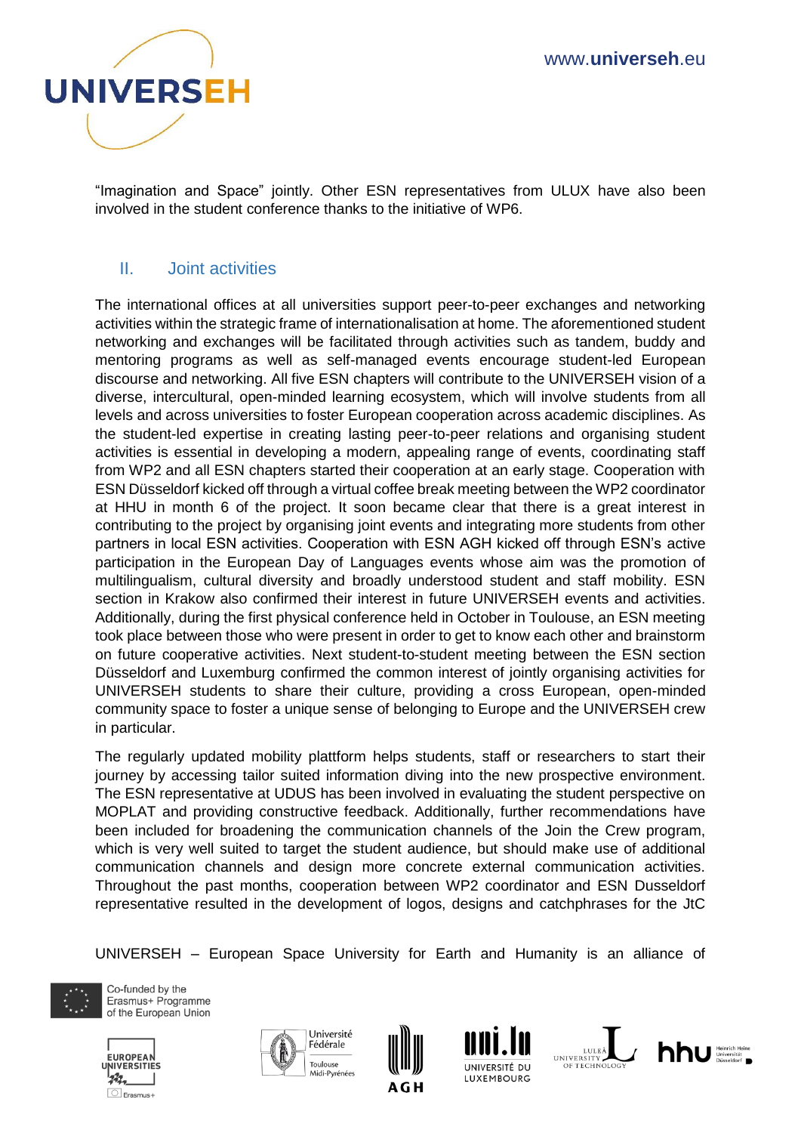

"Imagination and Space" jointly. Other ESN representatives from ULUX have also been involved in the student conference thanks to the initiative of WP6.

#### <span id="page-3-0"></span>II. Joint activities

The international offices at all universities support peer-to-peer exchanges and networking activities within the strategic frame of internationalisation at home. The aforementioned student networking and exchanges will be facilitated through activities such as tandem, buddy and mentoring programs as well as self-managed events encourage student-led European discourse and networking. All five ESN chapters will contribute to the UNIVERSEH vision of a diverse, intercultural, open-minded learning ecosystem, which will involve students from all levels and across universities to foster European cooperation across academic disciplines. As the student-led expertise in creating lasting peer-to-peer relations and organising student activities is essential in developing a modern, appealing range of events, coordinating staff from WP2 and all ESN chapters started their cooperation at an early stage. Cooperation with ESN Düsseldorf kicked off through a virtual coffee break meeting between the WP2 coordinator at HHU in month 6 of the project. It soon became clear that there is a great interest in contributing to the project by organising joint events and integrating more students from other partners in local ESN activities. Cooperation with ESN AGH kicked off through ESN's active participation in the European Day of Languages events whose aim was the promotion of multilingualism, cultural diversity and broadly understood student and staff mobility. ESN section in Krakow also confirmed their interest in future UNIVERSEH events and activities. Additionally, during the first physical conference held in October in Toulouse, an ESN meeting took place between those who were present in order to get to know each other and brainstorm on future cooperative activities. Next student-to-student meeting between the ESN section Düsseldorf and Luxemburg confirmed the common interest of jointly organising activities for UNIVERSEH students to share their culture, providing a cross European, open-minded community space to foster a unique sense of belonging to Europe and the UNIVERSEH crew in particular.

The regularly updated mobility plattform helps students, staff or researchers to start their journey by accessing tailor suited information diving into the new prospective environment. The ESN representative at UDUS has been involved in evaluating the student perspective on MOPLAT and providing constructive feedback. Additionally, further recommendations have been included for broadening the communication channels of the Join the Crew program, which is very well suited to target the student audience, but should make use of additional communication channels and design more concrete external communication activities. Throughout the past months, cooperation between WP2 coordinator and ESN Dusseldorf representative resulted in the development of logos, designs and catchphrases for the JtC

UNIVERSEH – European Space University for Earth and Humanity is an alliance of